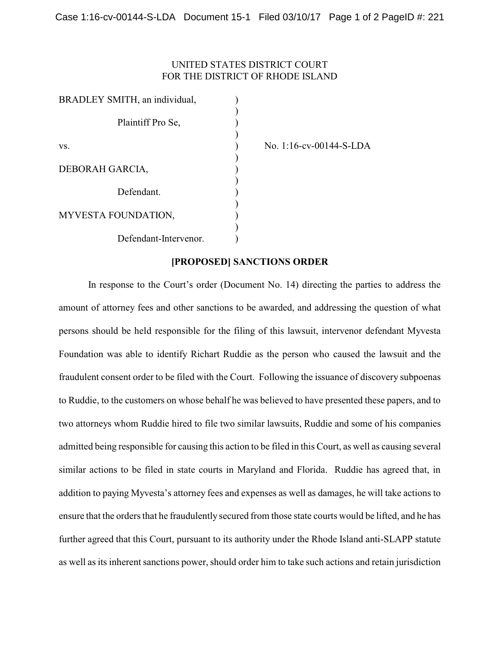## UNITED STATES DISTRICT COURT FOR THE DISTRICT OF RHODE ISLAND

| BRADLEY SMITH, an individual, |  |
|-------------------------------|--|
|                               |  |
| Plaintiff Pro Se,             |  |
|                               |  |
| VS.                           |  |
|                               |  |
| DEBORAH GARCIA,               |  |
|                               |  |
| Defendant                     |  |
|                               |  |
| MYVESTA FOUNDATION,           |  |
|                               |  |
| Defendant-Intervenor.         |  |

No. 1:16-cv-00144-S-LDA

## **[PROPOSED] SANCTIONS ORDER**

In response to the Court's order (Document No. 14) directing the parties to address the amount of attorney fees and other sanctions to be awarded, and addressing the question of what persons should be held responsible for the filing of this lawsuit, intervenor defendant Myvesta Foundation was able to identify Richart Ruddie as the person who caused the lawsuit and the fraudulent consent order to be filed with the Court. Following the issuance of discovery subpoenas to Ruddie, to the customers on whose behalf he was believed to have presented these papers, and to two attorneys whom Ruddie hired to file two similar lawsuits, Ruddie and some of his companies admitted being responsible for causing this action to be filed in this Court, as well as causing several similar actions to be filed in state courts in Maryland and Florida. Ruddie has agreed that, in addition to paying Myvesta's attorney fees and expenses as well as damages, he will take actions to ensure that the orders that he fraudulently secured from those state courts would be lifted, and he has further agreed that this Court, pursuant to its authority under the Rhode Island anti-SLAPP statute as well as its inherent sanctions power, should order him to take such actions and retain jurisdiction